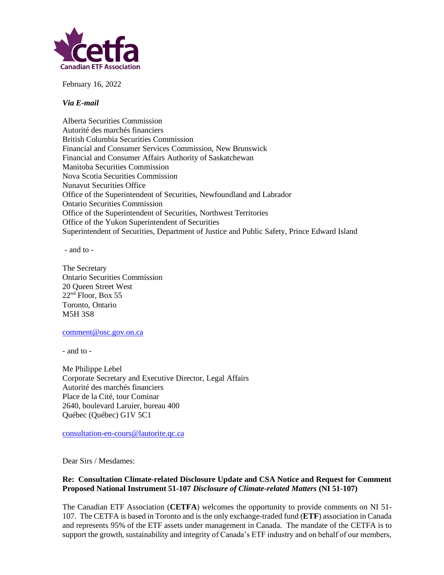

February 16, 2022

## *Via E-mail*

Alberta Securities Commission Autorité des marchés financiers British Columbia Securities Commission Financial and Consumer Services Commission, New Brunswick Financial and Consumer Affairs Authority of Saskatchewan Manitoba Securities Commission Nova Scotia Securities Commission Nunavut Securities Office Office of the Superintendent of Securities, Newfoundland and Labrador Ontario Securities Commission Office of the Superintendent of Securities, Northwest Territories Office of the Yukon Superintendent of Securities Superintendent of Securities, Department of Justice and Public Safety, Prince Edward Island

- and to -

The Secretary Ontario Securities Commission 20 Queen Street West 22<sup>nd</sup> Floor, Box 55 Toronto, Ontario M5H 3S8

## [comment@osc.gov.on.ca](mailto:comment@osc.gov.on.ca)

- and to -

Me Philippe Lebel Corporate Secretary and Executive Director, Legal Affairs Autorité des marchés financiers Place de la Cité, tour Cominar 2640, boulevard Laruier, bureau 400 Québec (Québec) G1V 5C1

[consultation-en-cours@lautorite.qc.ca](mailto:consultation-en-cours@lautorite.qc.ca)

Dear Sirs / Mesdames:

## **Re: Consultation Climate-related Disclosure Update and CSA Notice and Request for Comment Proposed National Instrument 51-107** *Disclosure of Climate-related Matters* **(NI 51-107)**

The Canadian ETF Association (**CETFA**) welcomes the opportunity to provide comments on NI 51- 107. The CETFA is based in Toronto and is the only exchange-traded fund (**ETF**) association in Canada and represents 95% of the ETF assets under management in Canada. The mandate of the CETFA is to support the growth, sustainability and integrity of Canada's ETF industry and on behalf of our members,